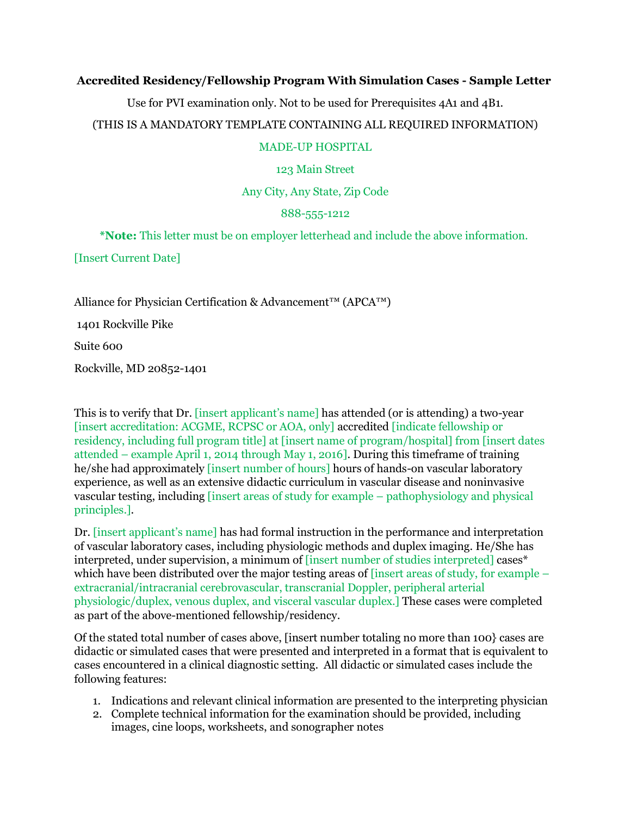## **Accredited Residency/Fellowship Program With Simulation Cases - Sample Letter**

Use for PVI examination only. Not to be used for Prerequisites 4A1 and 4B1.

(THIS IS A MANDATORY TEMPLATE CONTAINING ALL REQUIRED INFORMATION)

## MADE-UP HOSPITAL

123 Main Street

Any City, Any State, Zip Code

## 888-555-1212

**\*Note:** This letter must be on employer letterhead and include the above information.

[Insert Current Date]

Alliance for Physician Certification & Advancement™ (APCA™)

1401 Rockville Pike

Suite 600

Rockville, MD 20852-1401

This is to verify that Dr. [insert applicant's name] has attended (or is attending) a two-year [insert accreditation: ACGME, RCPSC or AOA, only] accredited [indicate fellowship or residency, including full program title] at [insert name of program/hospital] from [insert dates attended – example April 1, 2014 through May 1, 2016]. During this timeframe of training he/she had approximately [insert number of hours] hours of hands-on vascular laboratory experience, as well as an extensive didactic curriculum in vascular disease and noninvasive vascular testing, including [insert areas of study for example – pathophysiology and physical principles.].

Dr. [insert applicant's name] has had formal instruction in the performance and interpretation of vascular laboratory cases, including physiologic methods and duplex imaging. He/She has interpreted, under supervision, a minimum of *[insert number of studies interpreted]* cases\* which have been distributed over the major testing areas of [insert areas of study, for example – extracranial/intracranial cerebrovascular, transcranial Doppler, peripheral arterial physiologic/duplex, venous duplex, and visceral vascular duplex.] These cases were completed as part of the above-mentioned fellowship/residency.

Of the stated total number of cases above, [insert number totaling no more than 100} cases are didactic or simulated cases that were presented and interpreted in a format that is equivalent to cases encountered in a clinical diagnostic setting. All didactic or simulated cases include the following features:

- 1. Indications and relevant clinical information are presented to the interpreting physician
- 2. Complete technical information for the examination should be provided, including images, cine loops, worksheets, and sonographer notes